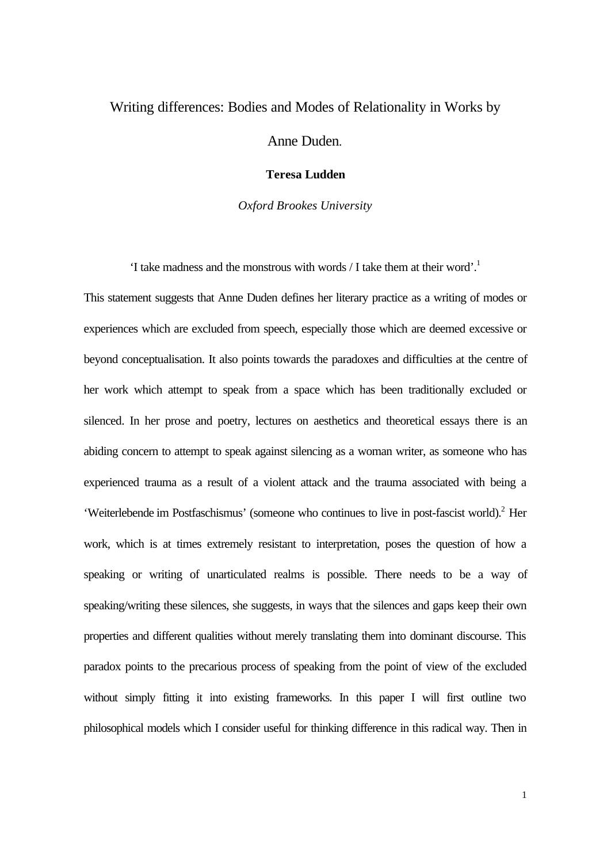# Writing differences: Bodies and Modes of Relationality in Works by Anne Duden.

#### **Teresa Ludden**

*Oxford Brookes University*

'I take madness and the monstrous with words / I take them at their word'.<sup>1</sup>

This statement suggests that Anne Duden defines her literary practice as a writing of modes or experiences which are excluded from speech, especially those which are deemed excessive or beyond conceptualisation. It also points towards the paradoxes and difficulties at the centre of her work which attempt to speak from a space which has been traditionally excluded or silenced. In her prose and poetry, lectures on aesthetics and theoretical essays there is an abiding concern to attempt to speak against silencing as a woman writer, as someone who has experienced trauma as a result of a violent attack and the trauma associated with being a 'Weiterlebende im Postfaschismus' (someone who continues to live in post-fascist world).<sup>2</sup> Her work, which is at times extremely resistant to interpretation, poses the question of how a speaking or writing of unarticulated realms is possible. There needs to be a way of speaking/writing these silences, she suggests, in ways that the silences and gaps keep their own properties and different qualities without merely translating them into dominant discourse. This paradox points to the precarious process of speaking from the point of view of the excluded without simply fitting it into existing frameworks. In this paper I will first outline two philosophical models which I consider useful for thinking difference in this radical way. Then in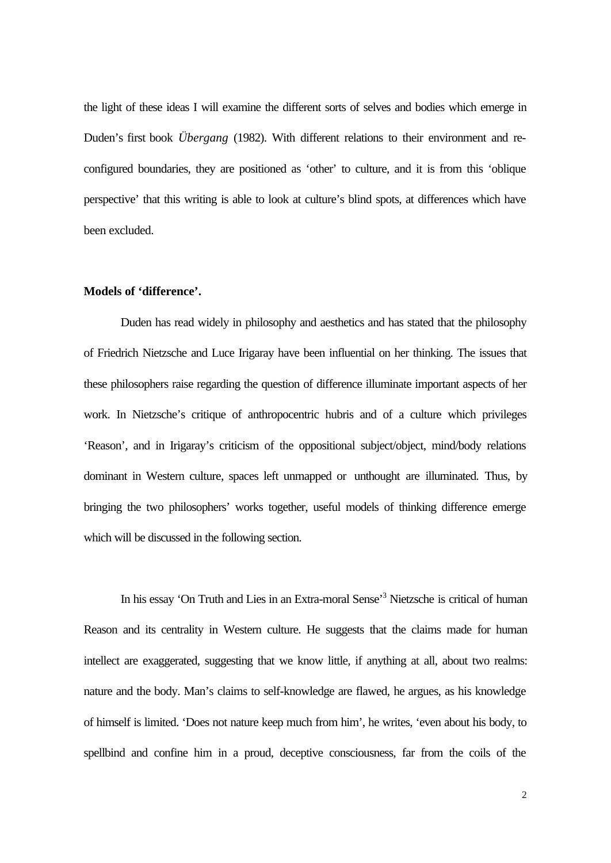the light of these ideas I will examine the different sorts of selves and bodies which emerge in Duden's first book *Übergang* (1982). With different relations to their environment and reconfigured boundaries, they are positioned as 'other' to culture, and it is from this 'oblique perspective' that this writing is able to look at culture's blind spots, at differences which have been excluded.

#### **Models of 'difference'.**

Duden has read widely in philosophy and aesthetics and has stated that the philosophy of Friedrich Nietzsche and Luce Irigaray have been influential on her thinking. The issues that these philosophers raise regarding the question of difference illuminate important aspects of her work. In Nietzsche's critique of anthropocentric hubris and of a culture which privileges 'Reason', and in Irigaray's criticism of the oppositional subject/object, mind/body relations dominant in Western culture, spaces left unmapped or unthought are illuminated. Thus, by bringing the two philosophers' works together, useful models of thinking difference emerge which will be discussed in the following section.

In his essay 'On Truth and Lies in an Extra-moral Sense'<sup>3</sup> Nietzsche is critical of human Reason and its centrality in Western culture. He suggests that the claims made for human intellect are exaggerated, suggesting that we know little, if anything at all, about two realms: nature and the body. Man's claims to self-knowledge are flawed, he argues, as his knowledge of himself is limited. 'Does not nature keep much from him', he writes, 'even about his body, to spellbind and confine him in a proud, deceptive consciousness, far from the coils of the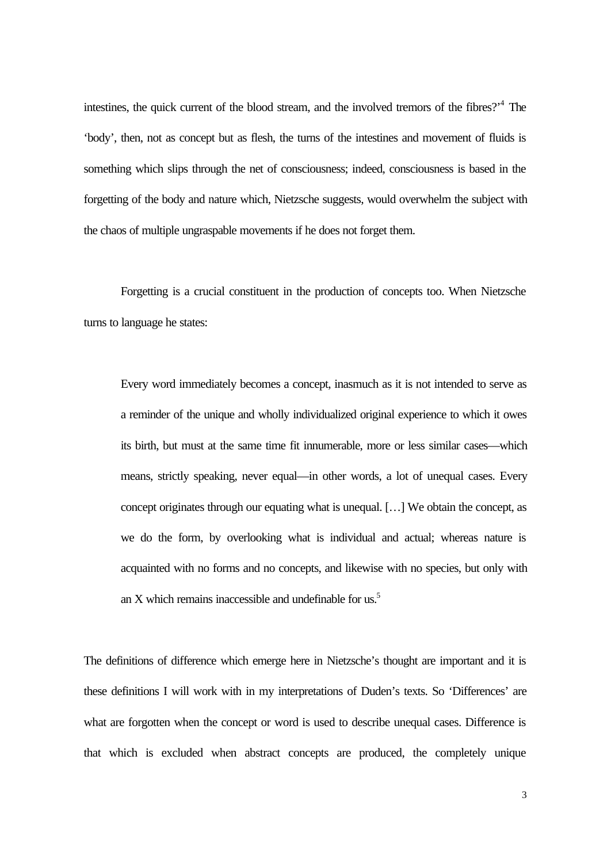intestines, the quick current of the blood stream, and the involved tremors of the fibres?'<sup>4</sup> The 'body', then, not as concept but as flesh, the turns of the intestines and movement of fluids is something which slips through the net of consciousness; indeed, consciousness is based in the forgetting of the body and nature which, Nietzsche suggests, would overwhelm the subject with the chaos of multiple ungraspable movements if he does not forget them.

Forgetting is a crucial constituent in the production of concepts too. When Nietzsche turns to language he states:

Every word immediately becomes a concept, inasmuch as it is not intended to serve as a reminder of the unique and wholly individualized original experience to which it owes its birth, but must at the same time fit innumerable, more or less similar cases—which means, strictly speaking, never equal—in other words, a lot of unequal cases. Every concept originates through our equating what is unequal. […] We obtain the concept, as we do the form, by overlooking what is individual and actual; whereas nature is acquainted with no forms and no concepts, and likewise with no species, but only with an X which remains inaccessible and undefinable for us.<sup>5</sup>

The definitions of difference which emerge here in Nietzsche's thought are important and it is these definitions I will work with in my interpretations of Duden's texts. So 'Differences' are what are forgotten when the concept or word is used to describe unequal cases. Difference is that which is excluded when abstract concepts are produced, the completely unique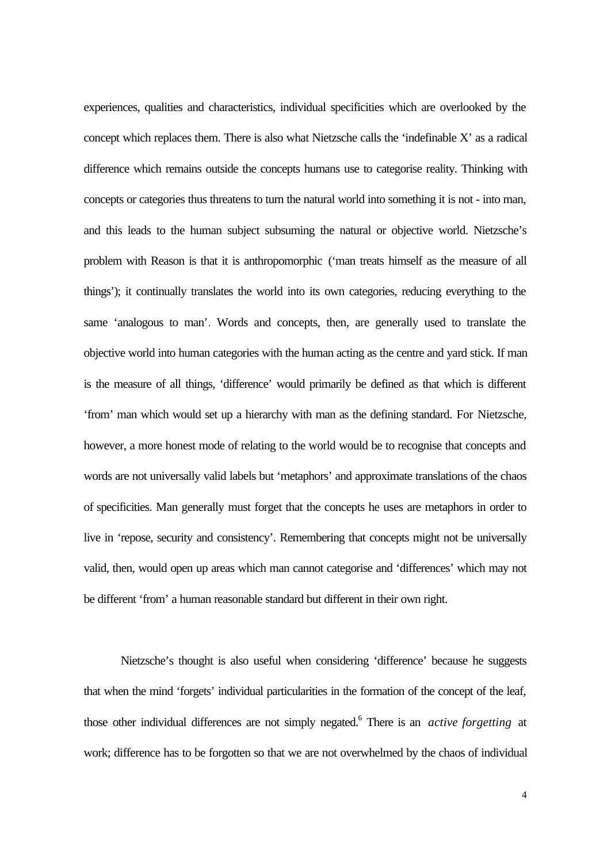experiences, qualities and characteristics, individual specificities which are overlooked by the concept which replaces them. There is also what Nietzsche calls the 'indefinable X' as a radical difference which remains outside the concepts humans use to categorise reality. Thinking with concepts or categories thus threatens to turn the natural world into something it is not - into man, and this leads to the human subject subsuming the natural or objective world. Nietzsche's problem with Reason is that it is anthropomorphic ('man treats himself as the measure of all things'); it continually translates the world into its own categories, reducing everything to the same 'analogous to man'. Words and concepts, then, are generally used to translate the objective world into human categories with the human acting as the centre and yard stick. If man is the measure of all things, 'difference' would primarily be defined as that which is different 'from' man which would set up a hierarchy with man as the defining standard. For Nietzsche, however, a more honest mode of relating to the world would be to recognise that concepts and words are not universally valid labels but 'metaphors' and approximate translations of the chaos of specificities. Man generally must forget that the concepts he uses are metaphors in order to live in 'repose, security and consistency'. Remembering that concepts might not be universally valid, then, would open up areas which man cannot categorise and 'differences' which may not be different 'from' a human reasonable standard but different in their own right.

Nietzsche's thought is also useful when considering 'difference' because he suggests that when the mind 'forgets' individual particularities in the formation of the concept of the leaf, those other individual differences are not simply negated.<sup>6</sup> There is an *active forgetting* at work; difference has to be forgotten so that we are not overwhelmed by the chaos of individual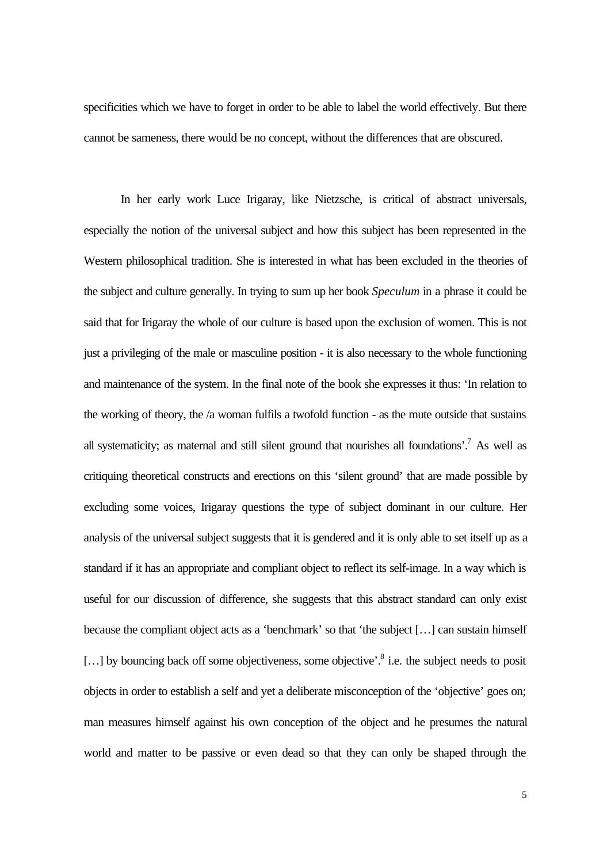specificities which we have to forget in order to be able to label the world effectively. But there cannot be sameness, there would be no concept, without the differences that are obscured.

In her early work Luce Irigaray, like Nietzsche, is critical of abstract universals, especially the notion of the universal subject and how this subject has been represented in the Western philosophical tradition. She is interested in what has been excluded in the theories of the subject and culture generally. In trying to sum up her book *Speculum* in a phrase it could be said that for Irigaray the whole of our culture is based upon the exclusion of women. This is not just a privileging of the male or masculine position - it is also necessary to the whole functioning and maintenance of the system. In the final note of the book she expresses it thus: 'In relation to the working of theory, the /a woman fulfils a twofold function - as the mute outside that sustains all systematicity; as maternal and still silent ground that nourishes all foundations'.<sup>7</sup> As well as critiquing theoretical constructs and erections on this 'silent ground' that are made possible by excluding some voices, Irigaray questions the type of subject dominant in our culture. Her analysis of the universal subject suggests that it is gendered and it is only able to set itself up as a standard if it has an appropriate and compliant object to reflect its self-image. In a way which is useful for our discussion of difference, she suggests that this abstract standard can only exist because the compliant object acts as a 'benchmark' so that 'the subject […] can sustain himself [...] by bouncing back off some objectiveness, some objective'.<sup>8</sup> i.e. the subject needs to posit objects in order to establish a self and yet a deliberate misconception of the 'objective' goes on; man measures himself against his own conception of the object and he presumes the natural world and matter to be passive or even dead so that they can only be shaped through the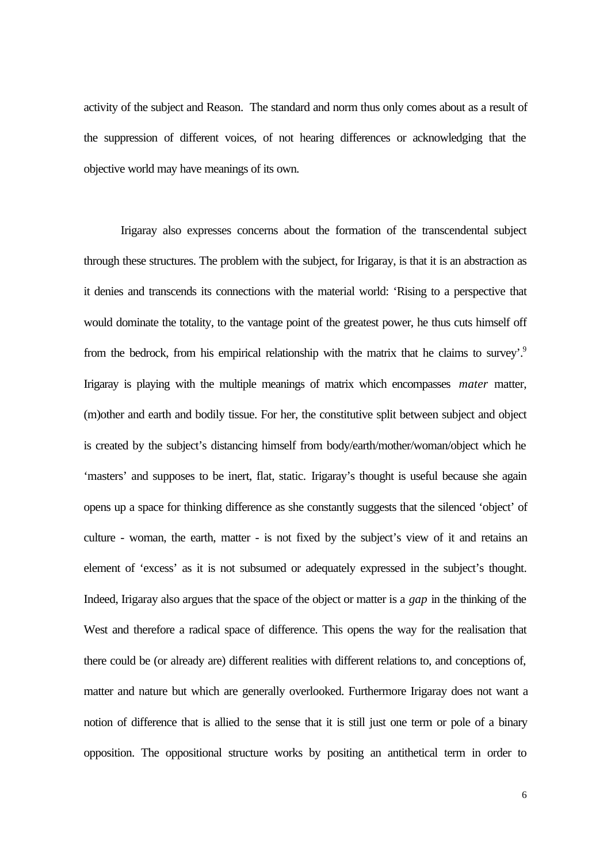activity of the subject and Reason. The standard and norm thus only comes about as a result of the suppression of different voices, of not hearing differences or acknowledging that the objective world may have meanings of its own.

Irigaray also expresses concerns about the formation of the transcendental subject through these structures. The problem with the subject, for Irigaray, is that it is an abstraction as it denies and transcends its connections with the material world: 'Rising to a perspective that would dominate the totality, to the vantage point of the greatest power, he thus cuts himself off from the bedrock, from his empirical relationship with the matrix that he claims to survey'.<sup>9</sup> Irigaray is playing with the multiple meanings of matrix which encompasses *mater* matter, (m)other and earth and bodily tissue. For her, the constitutive split between subject and object is created by the subject's distancing himself from body/earth/mother/woman/object which he 'masters' and supposes to be inert, flat, static. Irigaray's thought is useful because she again opens up a space for thinking difference as she constantly suggests that the silenced 'object' of culture - woman, the earth, matter - is not fixed by the subject's view of it and retains an element of 'excess' as it is not subsumed or adequately expressed in the subject's thought. Indeed, Irigaray also argues that the space of the object or matter is a *gap* in the thinking of the West and therefore a radical space of difference. This opens the way for the realisation that there could be (or already are) different realities with different relations to, and conceptions of, matter and nature but which are generally overlooked. Furthermore Irigaray does not want a notion of difference that is allied to the sense that it is still just one term or pole of a binary opposition. The oppositional structure works by positing an antithetical term in order to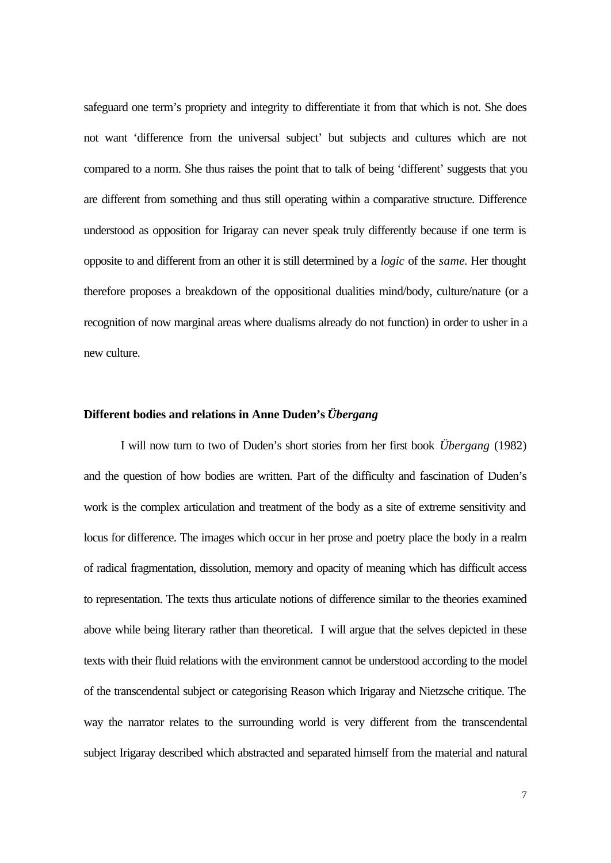safeguard one term's propriety and integrity to differentiate it from that which is not. She does not want 'difference from the universal subject' but subjects and cultures which are not compared to a norm. She thus raises the point that to talk of being 'different' suggests that you are different from something and thus still operating within a comparative structure. Difference understood as opposition for Irigaray can never speak truly differently because if one term is opposite to and different from an other it is still determined by a *logic* of the *same*. Her thought therefore proposes a breakdown of the oppositional dualities mind/body, culture/nature (or a recognition of now marginal areas where dualisms already do not function) in order to usher in a new culture.

## **Different bodies and relations in Anne Duden's** *Übergang*

I will now turn to two of Duden's short stories from her first book *Übergang* (1982) and the question of how bodies are written. Part of the difficulty and fascination of Duden's work is the complex articulation and treatment of the body as a site of extreme sensitivity and locus for difference. The images which occur in her prose and poetry place the body in a realm of radical fragmentation, dissolution, memory and opacity of meaning which has difficult access to representation. The texts thus articulate notions of difference similar to the theories examined above while being literary rather than theoretical. I will argue that the selves depicted in these texts with their fluid relations with the environment cannot be understood according to the model of the transcendental subject or categorising Reason which Irigaray and Nietzsche critique. The way the narrator relates to the surrounding world is very different from the transcendental subject Irigaray described which abstracted and separated himself from the material and natural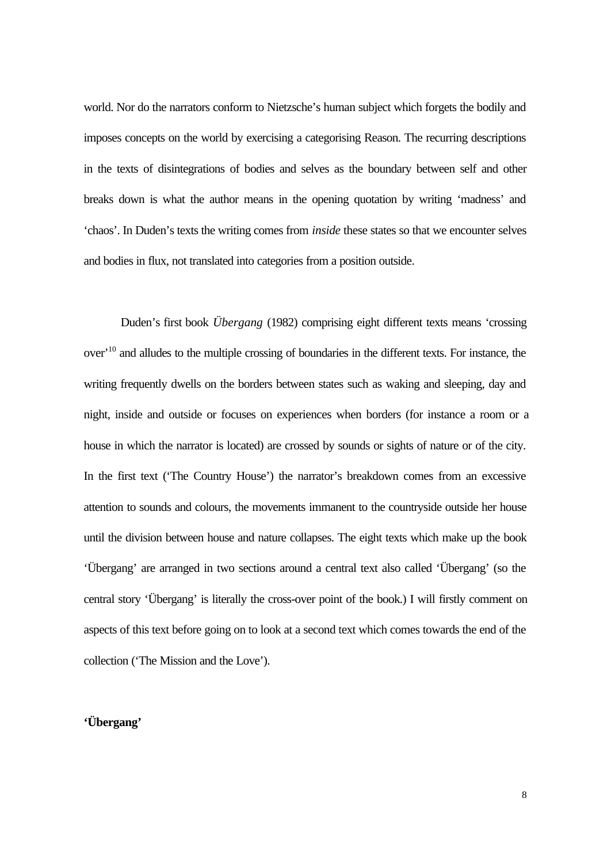world. Nor do the narrators conform to Nietzsche's human subject which forgets the bodily and imposes concepts on the world by exercising a categorising Reason. The recurring descriptions in the texts of disintegrations of bodies and selves as the boundary between self and other breaks down is what the author means in the opening quotation by writing 'madness' and 'chaos'. In Duden's texts the writing comes from *inside* these states so that we encounter selves and bodies in flux, not translated into categories from a position outside.

Duden's first book *Übergang* (1982) comprising eight different texts means 'crossing over'<sup>10</sup> and alludes to the multiple crossing of boundaries in the different texts. For instance, the writing frequently dwells on the borders between states such as waking and sleeping, day and night, inside and outside or focuses on experiences when borders (for instance a room or a house in which the narrator is located) are crossed by sounds or sights of nature or of the city. In the first text ('The Country House') the narrator's breakdown comes from an excessive attention to sounds and colours, the movements immanent to the countryside outside her house until the division between house and nature collapses. The eight texts which make up the book 'Übergang' are arranged in two sections around a central text also called 'Übergang' (so the central story 'Übergang' is literally the cross-over point of the book.) I will firstly comment on aspects of this text before going on to look at a second text which comes towards the end of the collection ('The Mission and the Love').

## **'Übergang'**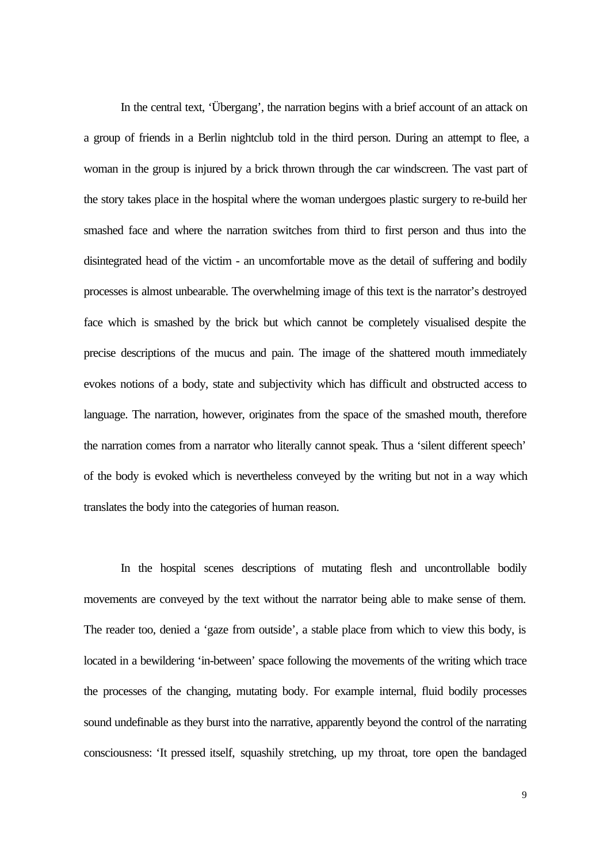In the central text, 'Übergang', the narration begins with a brief account of an attack on a group of friends in a Berlin nightclub told in the third person. During an attempt to flee, a woman in the group is injured by a brick thrown through the car windscreen. The vast part of the story takes place in the hospital where the woman undergoes plastic surgery to re-build her smashed face and where the narration switches from third to first person and thus into the disintegrated head of the victim - an uncomfortable move as the detail of suffering and bodily processes is almost unbearable. The overwhelming image of this text is the narrator's destroyed face which is smashed by the brick but which cannot be completely visualised despite the precise descriptions of the mucus and pain. The image of the shattered mouth immediately evokes notions of a body, state and subjectivity which has difficult and obstructed access to language. The narration, however, originates from the space of the smashed mouth, therefore the narration comes from a narrator who literally cannot speak. Thus a 'silent different speech' of the body is evoked which is nevertheless conveyed by the writing but not in a way which translates the body into the categories of human reason.

In the hospital scenes descriptions of mutating flesh and uncontrollable bodily movements are conveyed by the text without the narrator being able to make sense of them. The reader too, denied a 'gaze from outside', a stable place from which to view this body, is located in a bewildering 'in-between' space following the movements of the writing which trace the processes of the changing, mutating body. For example internal, fluid bodily processes sound undefinable as they burst into the narrative, apparently beyond the control of the narrating consciousness: 'It pressed itself, squashily stretching, up my throat, tore open the bandaged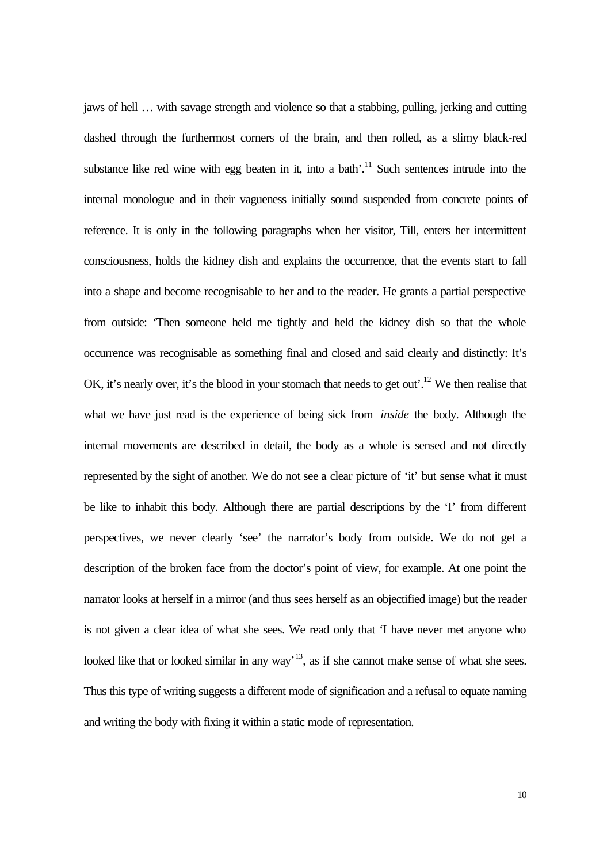jaws of hell … with savage strength and violence so that a stabbing, pulling, jerking and cutting dashed through the furthermost corners of the brain, and then rolled, as a slimy black-red substance like red wine with egg beaten in it, into a bath'.<sup>11</sup> Such sentences intrude into the internal monologue and in their vagueness initially sound suspended from concrete points of reference. It is only in the following paragraphs when her visitor, Till, enters her intermittent consciousness, holds the kidney dish and explains the occurrence, that the events start to fall into a shape and become recognisable to her and to the reader. He grants a partial perspective from outside: 'Then someone held me tightly and held the kidney dish so that the whole occurrence was recognisable as something final and closed and said clearly and distinctly: It's OK, it's nearly over, it's the blood in your stomach that needs to get out'.<sup>12</sup> We then realise that what we have just read is the experience of being sick from *inside* the body. Although the internal movements are described in detail, the body as a whole is sensed and not directly represented by the sight of another. We do not see a clear picture of 'it' but sense what it must be like to inhabit this body. Although there are partial descriptions by the 'I' from different perspectives, we never clearly 'see' the narrator's body from outside. We do not get a description of the broken face from the doctor's point of view, for example. At one point the narrator looks at herself in a mirror (and thus sees herself as an objectified image) but the reader is not given a clear idea of what she sees. We read only that 'I have never met anyone who looked like that or looked similar in any way'<sup>13</sup>, as if she cannot make sense of what she sees. Thus this type of writing suggests a different mode of signification and a refusal to equate naming and writing the body with fixing it within a static mode of representation.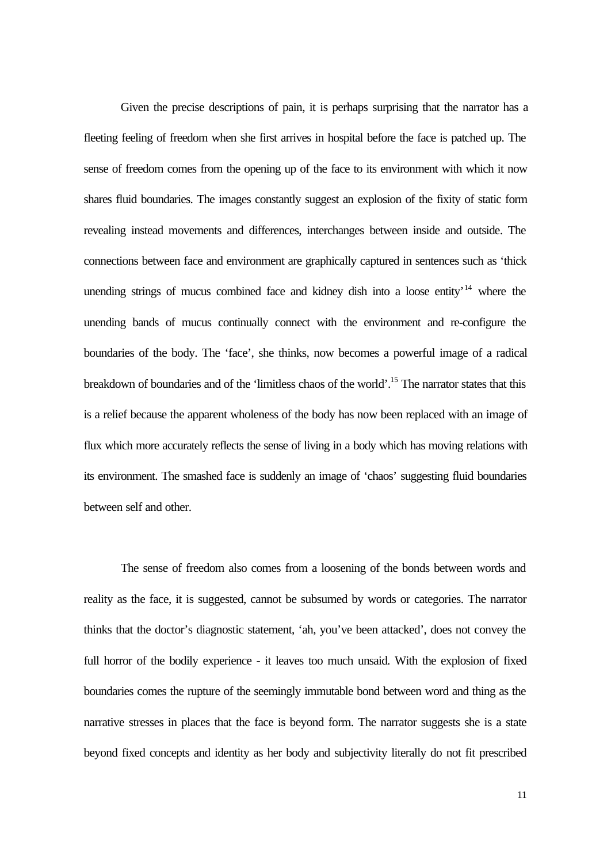Given the precise descriptions of pain, it is perhaps surprising that the narrator has a fleeting feeling of freedom when she first arrives in hospital before the face is patched up. The sense of freedom comes from the opening up of the face to its environment with which it now shares fluid boundaries. The images constantly suggest an explosion of the fixity of static form revealing instead movements and differences, interchanges between inside and outside. The connections between face and environment are graphically captured in sentences such as 'thick unending strings of mucus combined face and kidney dish into a loose entity<sup> $14$ </sup> where the unending bands of mucus continually connect with the environment and re-configure the boundaries of the body. The 'face', she thinks, now becomes a powerful image of a radical breakdown of boundaries and of the 'limitless chaos of the world'.<sup>15</sup> The narrator states that this is a relief because the apparent wholeness of the body has now been replaced with an image of flux which more accurately reflects the sense of living in a body which has moving relations with its environment. The smashed face is suddenly an image of 'chaos' suggesting fluid boundaries between self and other.

The sense of freedom also comes from a loosening of the bonds between words and reality as the face, it is suggested, cannot be subsumed by words or categories. The narrator thinks that the doctor's diagnostic statement, 'ah, you've been attacked', does not convey the full horror of the bodily experience - it leaves too much unsaid. With the explosion of fixed boundaries comes the rupture of the seemingly immutable bond between word and thing as the narrative stresses in places that the face is beyond form. The narrator suggests she is a state beyond fixed concepts and identity as her body and subjectivity literally do not fit prescribed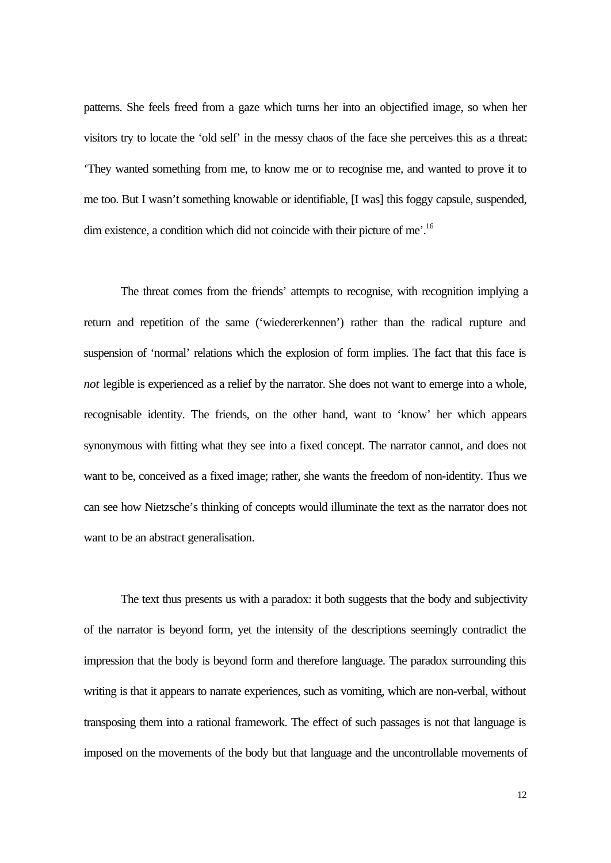patterns. She feels freed from a gaze which turns her into an objectified image, so when her visitors try to locate the 'old self' in the messy chaos of the face she perceives this as a threat: 'They wanted something from me, to know me or to recognise me, and wanted to prove it to me too. But I wasn't something knowable or identifiable, [I was] this foggy capsule, suspended, dim existence, a condition which did not coincide with their picture of me'.<sup>16</sup>

The threat comes from the friends' attempts to recognise, with recognition implying a return and repetition of the same ('wiedererkennen') rather than the radical rupture and suspension of 'normal' relations which the explosion of form implies. The fact that this face is *not* legible is experienced as a relief by the narrator. She does not want to emerge into a whole, recognisable identity. The friends, on the other hand, want to 'know' her which appears synonymous with fitting what they see into a fixed concept. The narrator cannot, and does not want to be, conceived as a fixed image; rather, she wants the freedom of non-identity. Thus we can see how Nietzsche's thinking of concepts would illuminate the text as the narrator does not want to be an abstract generalisation.

The text thus presents us with a paradox: it both suggests that the body and subjectivity of the narrator is beyond form, yet the intensity of the descriptions seemingly contradict the impression that the body is beyond form and therefore language. The paradox surrounding this writing is that it appears to narrate experiences, such as vomiting, which are non-verbal, without transposing them into a rational framework. The effect of such passages is not that language is imposed on the movements of the body but that language and the uncontrollable movements of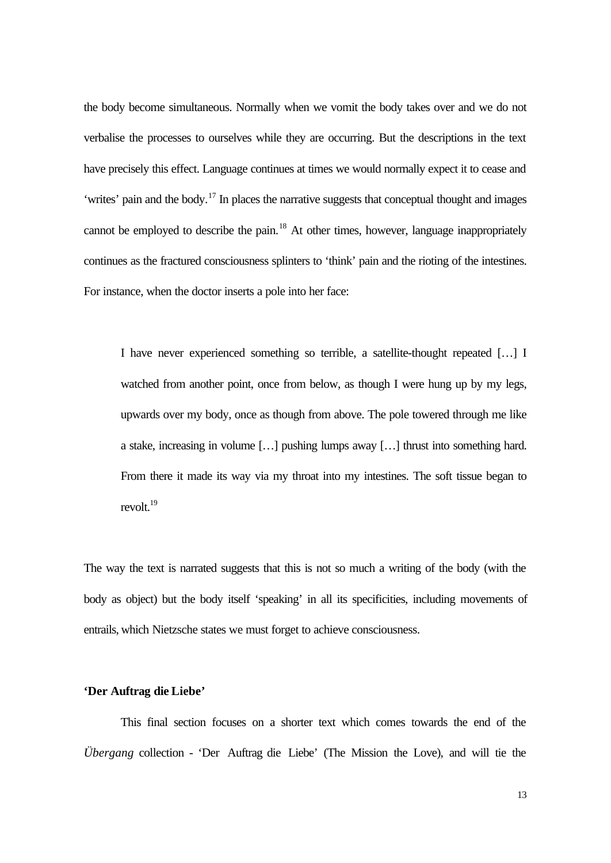the body become simultaneous. Normally when we vomit the body takes over and we do not verbalise the processes to ourselves while they are occurring. But the descriptions in the text have precisely this effect. Language continues at times we would normally expect it to cease and 'writes' pain and the body.<sup>17</sup> In places the narrative suggests that conceptual thought and images cannot be employed to describe the pain.<sup>18</sup> At other times, however, language inappropriately continues as the fractured consciousness splinters to 'think' pain and the rioting of the intestines. For instance, when the doctor inserts a pole into her face:

I have never experienced something so terrible, a satellite-thought repeated […] I watched from another point, once from below, as though I were hung up by my legs, upwards over my body, once as though from above. The pole towered through me like a stake, increasing in volume […] pushing lumps away […] thrust into something hard. From there it made its way via my throat into my intestines. The soft tissue began to revolt.<sup>19</sup>

The way the text is narrated suggests that this is not so much a writing of the body (with the body as object) but the body itself 'speaking' in all its specificities, including movements of entrails, which Nietzsche states we must forget to achieve consciousness.

## **'Der Auftrag die Liebe'**

This final section focuses on a shorter text which comes towards the end of the *Übergang* collection - 'Der Auftrag die Liebe' (The Mission the Love), and will tie the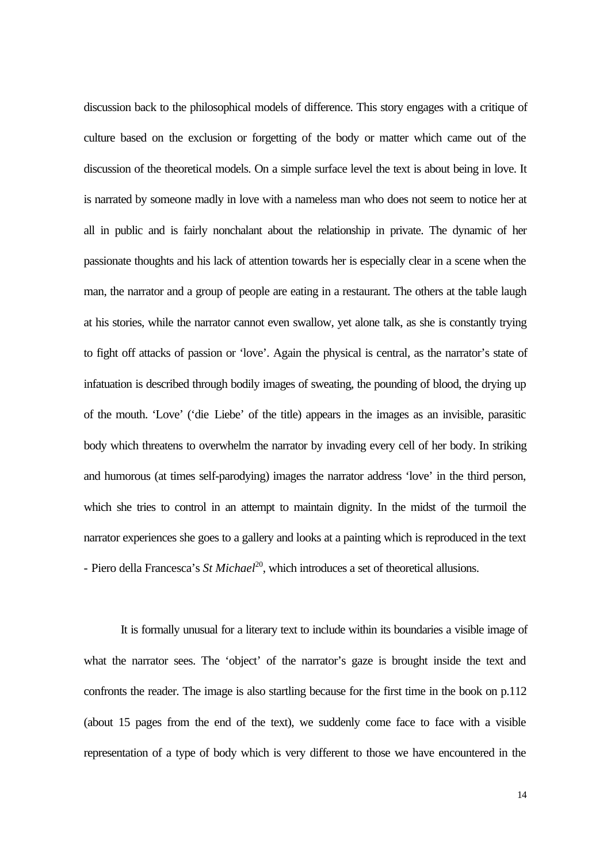discussion back to the philosophical models of difference. This story engages with a critique of culture based on the exclusion or forgetting of the body or matter which came out of the discussion of the theoretical models. On a simple surface level the text is about being in love. It is narrated by someone madly in love with a nameless man who does not seem to notice her at all in public and is fairly nonchalant about the relationship in private. The dynamic of her passionate thoughts and his lack of attention towards her is especially clear in a scene when the man, the narrator and a group of people are eating in a restaurant. The others at the table laugh at his stories, while the narrator cannot even swallow, yet alone talk, as she is constantly trying to fight off attacks of passion or 'love'. Again the physical is central, as the narrator's state of infatuation is described through bodily images of sweating, the pounding of blood, the drying up of the mouth. 'Love' ('die Liebe' of the title) appears in the images as an invisible, parasitic body which threatens to overwhelm the narrator by invading every cell of her body. In striking and humorous (at times self-parodying) images the narrator address 'love' in the third person, which she tries to control in an attempt to maintain dignity. In the midst of the turmoil the narrator experiences she goes to a gallery and looks at a painting which is reproduced in the text - Piero della Francesca's *St Michael*<sup>20</sup>, which introduces a set of theoretical allusions.

It is formally unusual for a literary text to include within its boundaries a visible image of what the narrator sees. The 'object' of the narrator's gaze is brought inside the text and confronts the reader. The image is also startling because for the first time in the book on p.112 (about 15 pages from the end of the text), we suddenly come face to face with a visible representation of a type of body which is very different to those we have encountered in the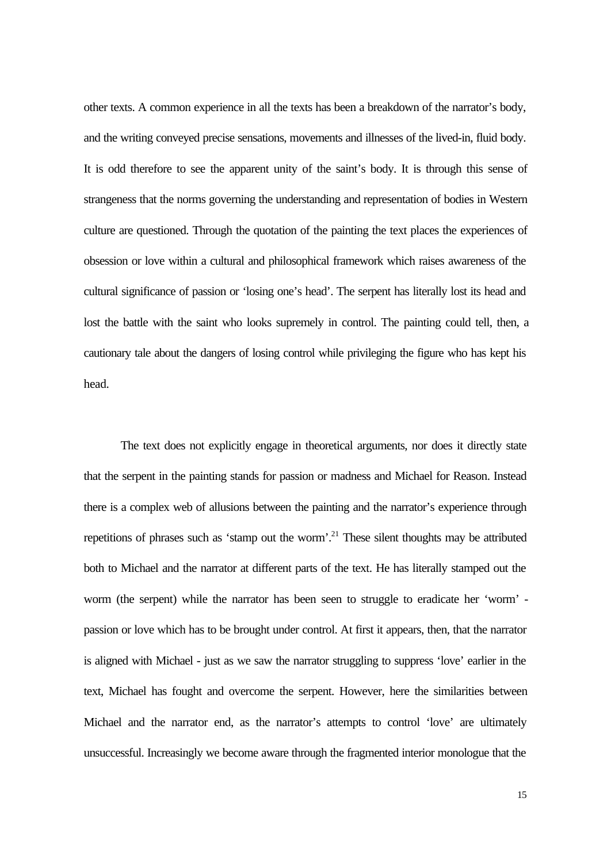other texts. A common experience in all the texts has been a breakdown of the narrator's body, and the writing conveyed precise sensations, movements and illnesses of the lived-in, fluid body. It is odd therefore to see the apparent unity of the saint's body. It is through this sense of strangeness that the norms governing the understanding and representation of bodies in Western culture are questioned. Through the quotation of the painting the text places the experiences of obsession or love within a cultural and philosophical framework which raises awareness of the cultural significance of passion or 'losing one's head'. The serpent has literally lost its head and lost the battle with the saint who looks supremely in control. The painting could tell, then, a cautionary tale about the dangers of losing control while privileging the figure who has kept his head.

The text does not explicitly engage in theoretical arguments, nor does it directly state that the serpent in the painting stands for passion or madness and Michael for Reason. Instead there is a complex web of allusions between the painting and the narrator's experience through repetitions of phrases such as 'stamp out the worm'.<sup>21</sup> These silent thoughts may be attributed both to Michael and the narrator at different parts of the text. He has literally stamped out the worm (the serpent) while the narrator has been seen to struggle to eradicate her 'worm' passion or love which has to be brought under control. At first it appears, then, that the narrator is aligned with Michael - just as we saw the narrator struggling to suppress 'love' earlier in the text, Michael has fought and overcome the serpent. However, here the similarities between Michael and the narrator end, as the narrator's attempts to control 'love' are ultimately unsuccessful. Increasingly we become aware through the fragmented interior monologue that the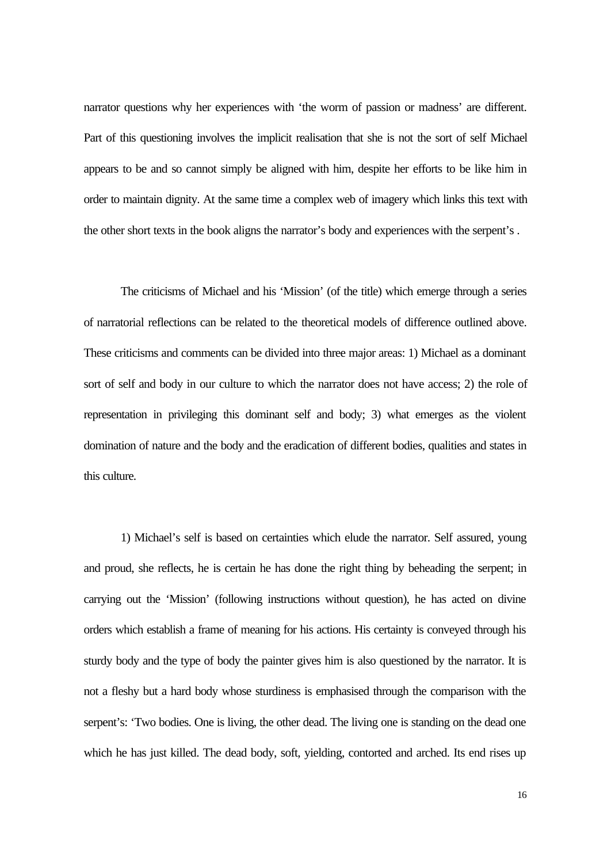narrator questions why her experiences with 'the worm of passion or madness' are different. Part of this questioning involves the implicit realisation that she is not the sort of self Michael appears to be and so cannot simply be aligned with him, despite her efforts to be like him in order to maintain dignity. At the same time a complex web of imagery which links this text with the other short texts in the book aligns the narrator's body and experiences with the serpent's .

The criticisms of Michael and his 'Mission' (of the title) which emerge through a series of narratorial reflections can be related to the theoretical models of difference outlined above. These criticisms and comments can be divided into three major areas: 1) Michael as a dominant sort of self and body in our culture to which the narrator does not have access; 2) the role of representation in privileging this dominant self and body; 3) what emerges as the violent domination of nature and the body and the eradication of different bodies, qualities and states in this culture.

1) Michael's self is based on certainties which elude the narrator. Self assured, young and proud, she reflects, he is certain he has done the right thing by beheading the serpent; in carrying out the 'Mission' (following instructions without question), he has acted on divine orders which establish a frame of meaning for his actions. His certainty is conveyed through his sturdy body and the type of body the painter gives him is also questioned by the narrator. It is not a fleshy but a hard body whose sturdiness is emphasised through the comparison with the serpent's: 'Two bodies. One is living, the other dead. The living one is standing on the dead one which he has just killed. The dead body, soft, yielding, contorted and arched. Its end rises up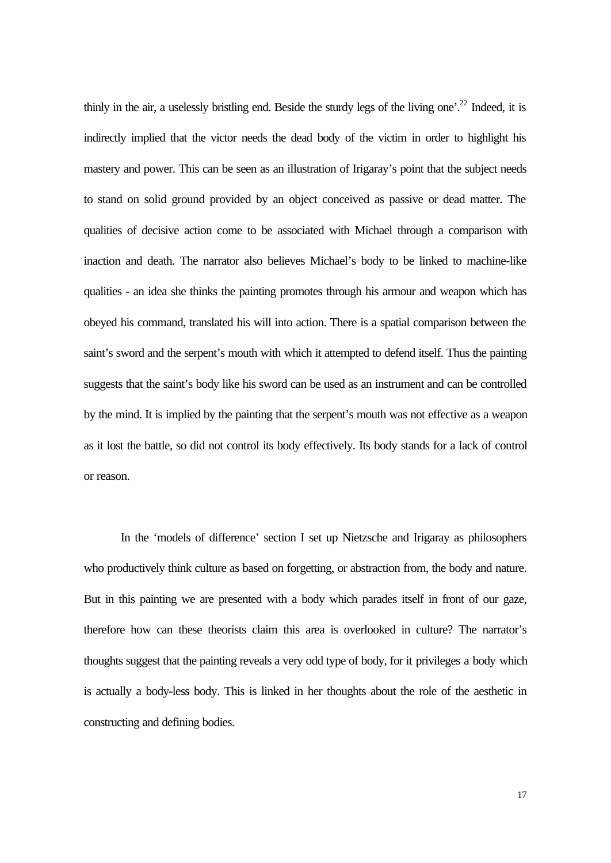thinly in the air, a uselessly bristling end. Beside the sturdy legs of the living one'.<sup>22</sup> Indeed, it is indirectly implied that the victor needs the dead body of the victim in order to highlight his mastery and power. This can be seen as an illustration of Irigaray's point that the subject needs to stand on solid ground provided by an object conceived as passive or dead matter. The qualities of decisive action come to be associated with Michael through a comparison with inaction and death. The narrator also believes Michael's body to be linked to machine-like qualities - an idea she thinks the painting promotes through his armour and weapon which has obeyed his command, translated his will into action. There is a spatial comparison between the saint's sword and the serpent's mouth with which it attempted to defend itself. Thus the painting suggests that the saint's body like his sword can be used as an instrument and can be controlled by the mind. It is implied by the painting that the serpent's mouth was not effective as a weapon as it lost the battle, so did not control its body effectively. Its body stands for a lack of control or reason.

In the 'models of difference' section I set up Nietzsche and Irigaray as philosophers who productively think culture as based on forgetting, or abstraction from, the body and nature. But in this painting we are presented with a body which parades itself in front of our gaze, therefore how can these theorists claim this area is overlooked in culture? The narrator's thoughts suggest that the painting reveals a very odd type of body, for it privileges a body which is actually a body-less body. This is linked in her thoughts about the role of the aesthetic in constructing and defining bodies.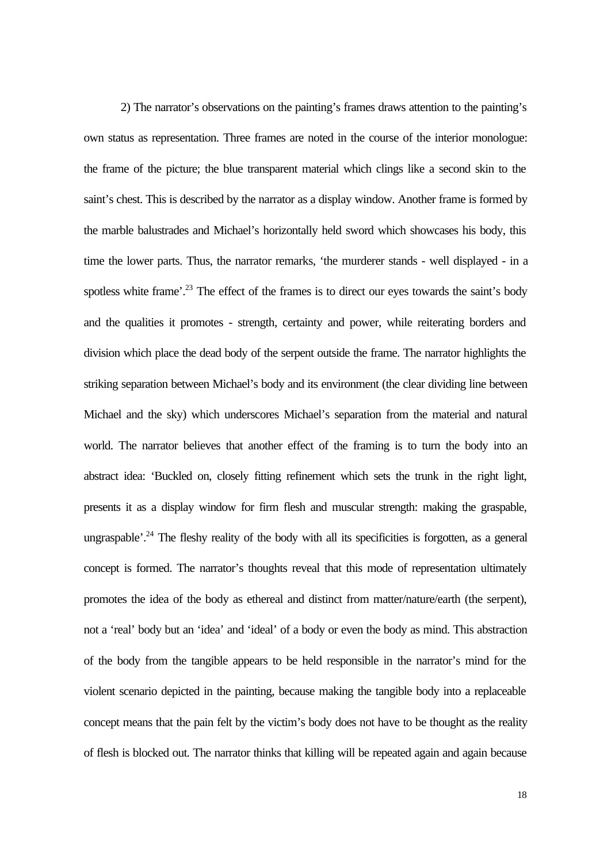2) The narrator's observations on the painting's frames draws attention to the painting's own status as representation. Three frames are noted in the course of the interior monologue: the frame of the picture; the blue transparent material which clings like a second skin to the saint's chest. This is described by the narrator as a display window. Another frame is formed by the marble balustrades and Michael's horizontally held sword which showcases his body, this time the lower parts. Thus, the narrator remarks, 'the murderer stands - well displayed - in a spotless white frame'.<sup>23</sup> The effect of the frames is to direct our eyes towards the saint's body and the qualities it promotes - strength, certainty and power, while reiterating borders and division which place the dead body of the serpent outside the frame. The narrator highlights the striking separation between Michael's body and its environment (the clear dividing line between Michael and the sky) which underscores Michael's separation from the material and natural world. The narrator believes that another effect of the framing is to turn the body into an abstract idea: 'Buckled on, closely fitting refinement which sets the trunk in the right light, presents it as a display window for firm flesh and muscular strength: making the graspable, ungraspable'.<sup>24</sup> The fleshy reality of the body with all its specificities is forgotten, as a general concept is formed. The narrator's thoughts reveal that this mode of representation ultimately promotes the idea of the body as ethereal and distinct from matter/nature/earth (the serpent), not a 'real' body but an 'idea' and 'ideal' of a body or even the body as mind. This abstraction of the body from the tangible appears to be held responsible in the narrator's mind for the violent scenario depicted in the painting, because making the tangible body into a replaceable concept means that the pain felt by the victim's body does not have to be thought as the reality of flesh is blocked out. The narrator thinks that killing will be repeated again and again because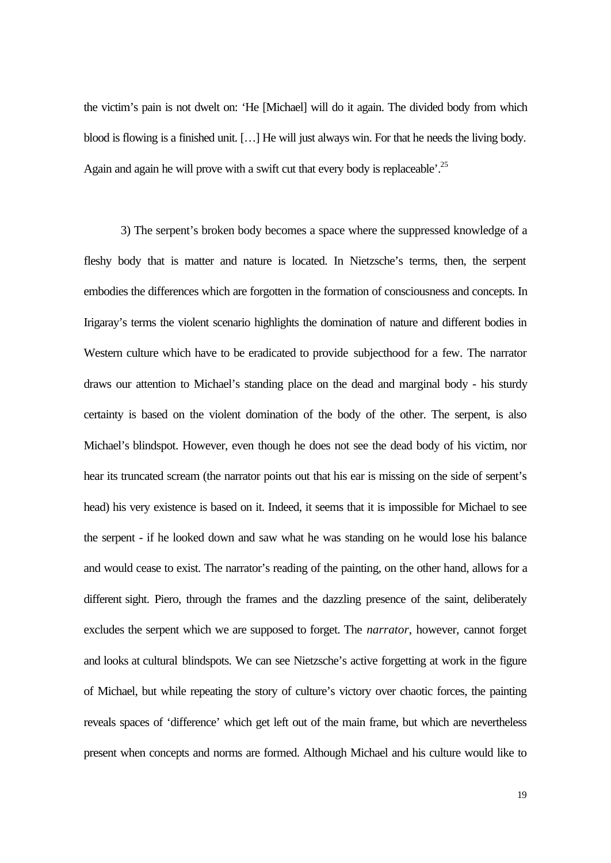the victim's pain is not dwelt on: 'He [Michael] will do it again. The divided body from which blood is flowing is a finished unit. […] He will just always win. For that he needs the living body. Again and again he will prove with a swift cut that every body is replaceable'.<sup>25</sup>

3) The serpent's broken body becomes a space where the suppressed knowledge of a fleshy body that is matter and nature is located. In Nietzsche's terms, then, the serpent embodies the differences which are forgotten in the formation of consciousness and concepts. In Irigaray's terms the violent scenario highlights the domination of nature and different bodies in Western culture which have to be eradicated to provide subjecthood for a few. The narrator draws our attention to Michael's standing place on the dead and marginal body - his sturdy certainty is based on the violent domination of the body of the other. The serpent, is also Michael's blindspot. However, even though he does not see the dead body of his victim, nor hear its truncated scream (the narrator points out that his ear is missing on the side of serpent's head) his very existence is based on it. Indeed, it seems that it is impossible for Michael to see the serpent - if he looked down and saw what he was standing on he would lose his balance and would cease to exist. The narrator's reading of the painting, on the other hand, allows for a different sight. Piero, through the frames and the dazzling presence of the saint, deliberately excludes the serpent which we are supposed to forget. The *narrator*, however, cannot forget and looks at cultural blindspots. We can see Nietzsche's active forgetting at work in the figure of Michael, but while repeating the story of culture's victory over chaotic forces, the painting reveals spaces of 'difference' which get left out of the main frame, but which are nevertheless present when concepts and norms are formed. Although Michael and his culture would like to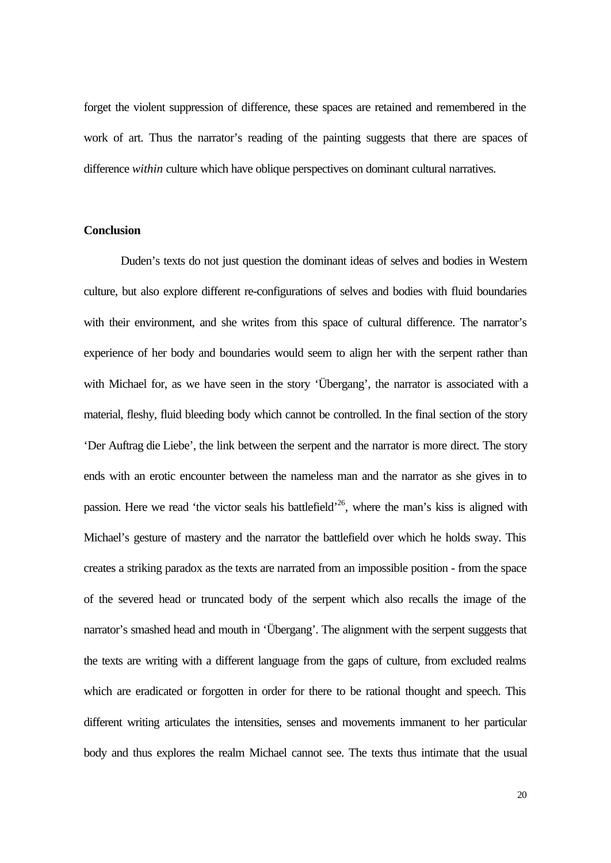forget the violent suppression of difference, these spaces are retained and remembered in the work of art. Thus the narrator's reading of the painting suggests that there are spaces of difference *within* culture which have oblique perspectives on dominant cultural narratives.

## **Conclusion**

Duden's texts do not just question the dominant ideas of selves and bodies in Western culture, but also explore different re-configurations of selves and bodies with fluid boundaries with their environment, and she writes from this space of cultural difference. The narrator's experience of her body and boundaries would seem to align her with the serpent rather than with Michael for, as we have seen in the story 'Übergang', the narrator is associated with a material, fleshy, fluid bleeding body which cannot be controlled. In the final section of the story 'Der Auftrag die Liebe', the link between the serpent and the narrator is more direct. The story ends with an erotic encounter between the nameless man and the narrator as she gives in to passion. Here we read 'the victor seals his battlefield'<sup>26</sup>, where the man's kiss is aligned with Michael's gesture of mastery and the narrator the battlefield over which he holds sway. This creates a striking paradox as the texts are narrated from an impossible position - from the space of the severed head or truncated body of the serpent which also recalls the image of the narrator's smashed head and mouth in 'Übergang'. The alignment with the serpent suggests that the texts are writing with a different language from the gaps of culture, from excluded realms which are eradicated or forgotten in order for there to be rational thought and speech. This different writing articulates the intensities, senses and movements immanent to her particular body and thus explores the realm Michael cannot see. The texts thus intimate that the usual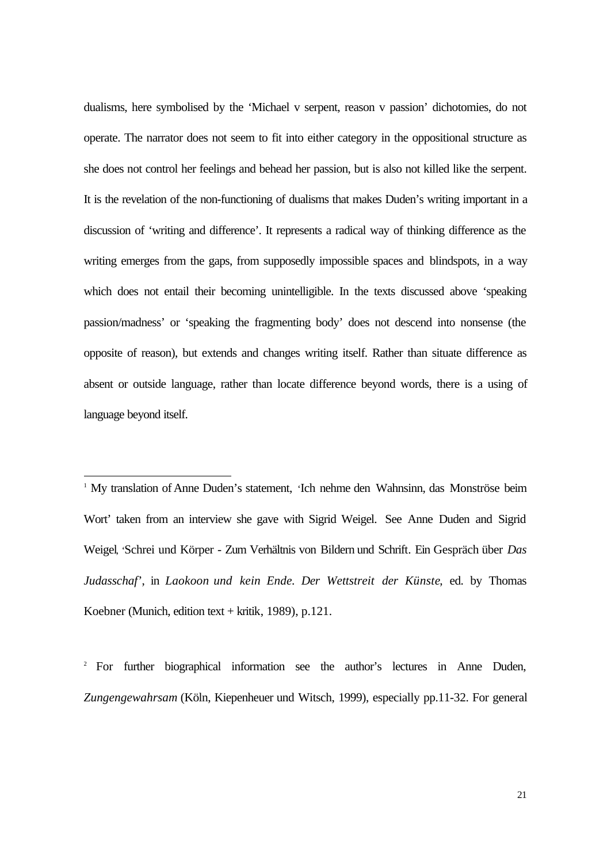dualisms, here symbolised by the 'Michael v serpent, reason v passion' dichotomies, do not operate. The narrator does not seem to fit into either category in the oppositional structure as she does not control her feelings and behead her passion, but is also not killed like the serpent. It is the revelation of the non-functioning of dualisms that makes Duden's writing important in a discussion of 'writing and difference'. It represents a radical way of thinking difference as the writing emerges from the gaps, from supposedly impossible spaces and blindspots, in a way which does not entail their becoming unintelligible. In the texts discussed above 'speaking passion/madness' or 'speaking the fragmenting body' does not descend into nonsense (the opposite of reason), but extends and changes writing itself. Rather than situate difference as absent or outside language, rather than locate difference beyond words, there is a using of language beyond itself.

<sup>1</sup> My translation of Anne Duden's statement, 'Ich nehme den Wahnsinn, das Monströse beim Wort' taken from an interview she gave with Sigrid Weigel. See Anne Duden and Sigrid Weigel, 'Schrei und Körper - Zum Verhältnis von Bildern und Schrift. Ein Gespräch über *Das Judasschaf*', in *Laokoon und kein Ende. Der Wettstreit der Künste*, ed. by Thomas Koebner (Munich, edition text + kritik, 1989), p.121.

l

<sup>2</sup> For further biographical information see the author's lectures in Anne Duden, *Zungengewahrsam* (Köln, Kiepenheuer und Witsch, 1999), especially pp.11-32. For general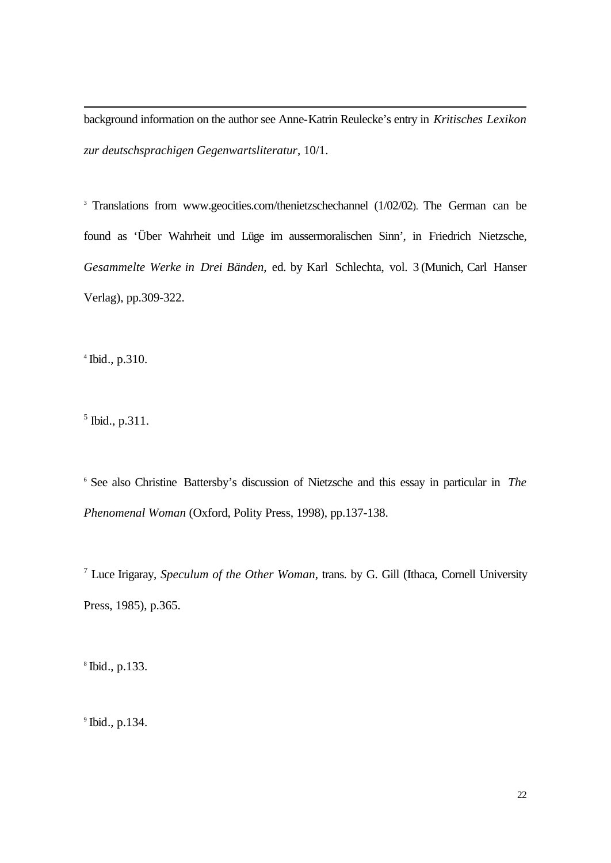background information on the author see Anne-Katrin Reulecke's entry in *Kritisches Lexikon zur deutschsprachigen Gegenwartsliteratur*, 10/1.

<sup>3</sup> Translations from www.geocities.com/thenietzschechannel (1/02/02). The German can be found as 'Über Wahrheit und Lüge im aussermoralischen Sinn', in Friedrich Nietzsche, *Gesammelte Werke in Drei Bänden*, ed. by Karl Schlechta, vol. 3 (Munich, Carl Hanser Verlag), pp.309-322.

4 Ibid., p.310.

l

 $<sup>5</sup>$  Ibid., p.311.</sup>

<sup>6</sup> See also Christine Battersby's discussion of Nietzsche and this essay in particular in *The Phenomenal Woman* (Oxford, Polity Press, 1998), pp.137-138.

<sup>7</sup> Luce Irigaray, *Speculum of the Other Woman*, trans. by G. Gill (Ithaca, Cornell University Press, 1985), p.365.

8 Ibid., p.133.

 $9$  Ibid., p.134.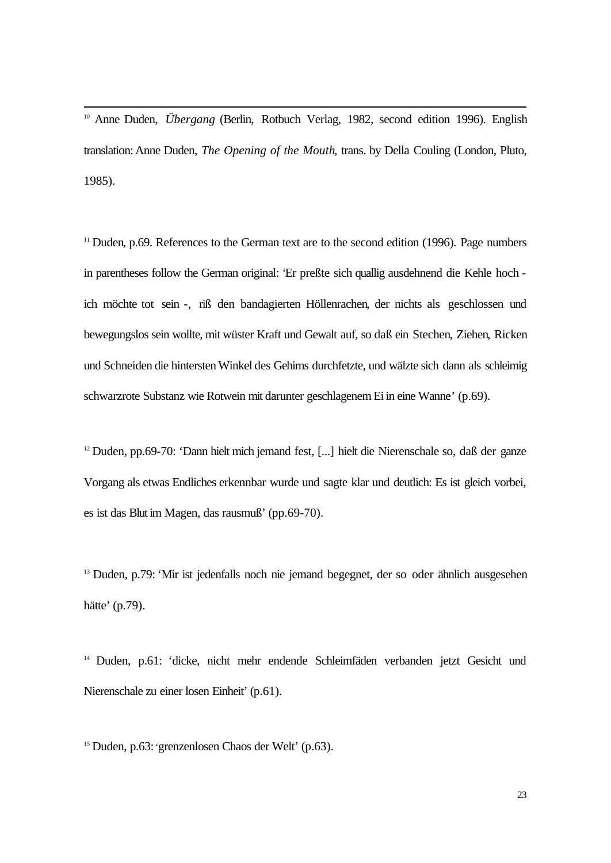<sup>10</sup> Anne Duden, *Übergang* (Berlin, Rotbuch Verlag, 1982, second edition 1996). English translation: Anne Duden, *The Opening of the Mouth*, trans. by Della Couling (London, Pluto, 1985).

l

 $11$  Duden, p.69. References to the German text are to the second edition (1996). Page numbers in parentheses follow the German original: 'Er preßte sich quallig ausdehnend die Kehle hoch ich möchte tot sein -, riß den bandagierten Höllenrachen, der nichts als geschlossen und bewegungslos sein wollte, mit wüster Kraft und Gewalt auf, so daß ein Stechen, Ziehen, Ricken und Schneiden die hinterstenWinkel des Gehirns durchfetzte, und wälzte sich dann als schleimig schwarzrote Substanz wie Rotwein mit darunter geschlagenem Ei in eine Wanne' (p.69).

<sup>12</sup> Duden, pp.69-70: 'Dann hielt mich jemand fest, [...] hielt die Nierenschale so, daß der ganze Vorgang als etwas Endliches erkennbar wurde und sagte klar und deutlich: Es ist gleich vorbei, es ist das Blut im Magen, das rausmuß' (pp.69-70).

<sup>13</sup> Duden, p.79: 'Mir ist jedenfalls noch nie jemand begegnet, der so oder ähnlich ausgesehen hätte' (p.79).

<sup>14</sup> Duden, p.61: 'dicke, nicht mehr endende Schleimfäden verbanden jetzt Gesicht und Nierenschale zu einer losen Einheit' (p.61).

 $15$  Duden, p.63: 'grenzenlosen Chaos der Welt' (p.63).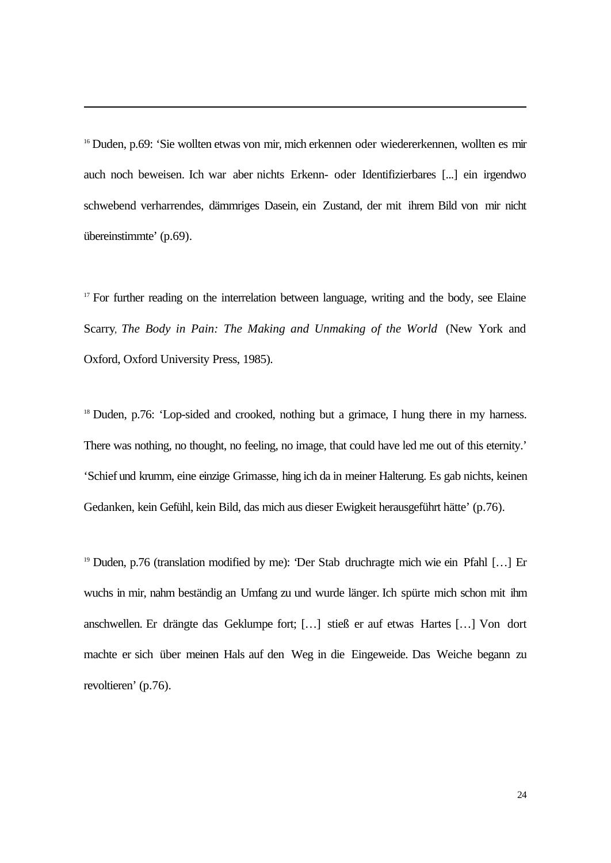<sup>16</sup> Duden, p.69: 'Sie wollten etwas von mir, mich erkennen oder wiedererkennen, wollten es mir auch noch beweisen. Ich war aber nichts Erkenn- oder Identifizierbares [...] ein irgendwo schwebend verharrendes, dämmriges Dasein, ein Zustand, der mit ihrem Bild von mir nicht übereinstimmte' (p.69).

l

 $17$  For further reading on the interrelation between language, writing and the body, see Elaine Scarry, *The Body in Pain: The Making and Unmaking of the World* (New York and Oxford, Oxford University Press, 1985).

<sup>18</sup> Duden, p.76: 'Lop-sided and crooked, nothing but a grimace, I hung there in my harness. There was nothing, no thought, no feeling, no image, that could have led me out of this eternity.' 'Schief und krumm, eine einzige Grimasse, hing ich da in meiner Halterung. Es gab nichts, keinen Gedanken, kein Gefühl, kein Bild, das mich aus dieser Ewigkeit herausgeführt hätte' (p.76).

<sup>19</sup> Duden, p.76 (translation modified by me): 'Der Stab druchragte mich wie ein Pfahl […] Er wuchs in mir, nahm beständig an Umfang zu und wurde länger. Ich spürte mich schon mit ihm anschwellen. Er drängte das Geklumpe fort; […] stieß er auf etwas Hartes […] Von dort machte er sich über meinen Hals auf den Weg in die Eingeweide. Das Weiche begann zu revoltieren' (p.76).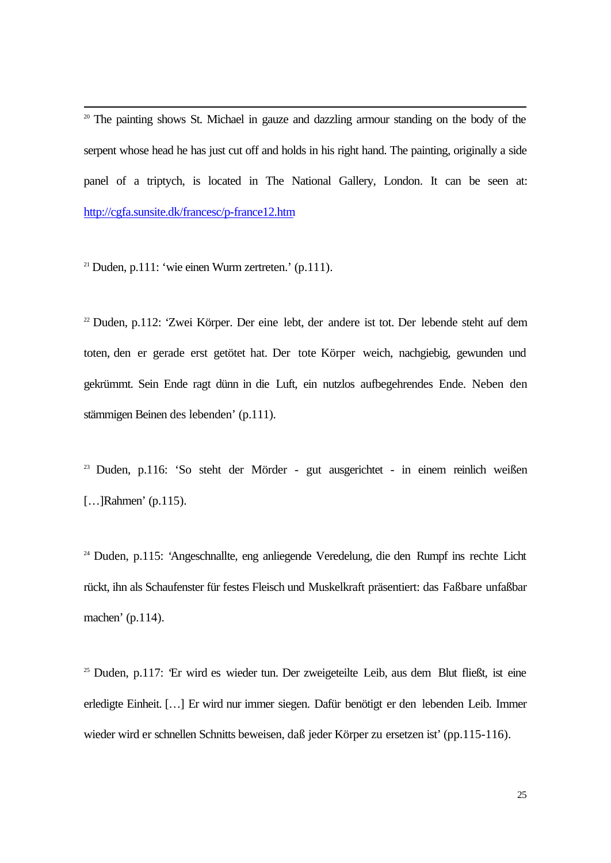<sup>20</sup> The painting shows St. Michael in gauze and dazzling armour standing on the body of the serpent whose head he has just cut off and holds in his right hand. The painting, originally a side panel of a triptych, is located in The National Gallery, London. It can be seen at: http://cgfa.sunsite.dk/francesc/p-france12.htm

<sup>21</sup> Duden, p.111: 'wie einen Wurm zertreten.'  $(p.111)$ .

l

 $22$  Duden, p.112: 'Zwei Körper. Der eine lebt, der andere ist tot. Der lebende steht auf dem toten, den er gerade erst getötet hat. Der tote Körper weich, nachgiebig, gewunden und gekrümmt. Sein Ende ragt dünn in die Luft, ein nutzlos aufbegehrendes Ende. Neben den stämmigen Beinen des lebenden' (p.111).

<sup>23</sup> Duden, p.116: 'So steht der Mörder - gut ausgerichtet - in einem reinlich weißen [...]Rahmen' (p.115).

<sup>24</sup> Duden, p.115: 'Angeschnallte, eng anliegende Veredelung, die den Rumpf ins rechte Licht rückt, ihn als Schaufenster für festes Fleisch und Muskelkraft präsentiert: das Faßbare unfaßbar machen' (p.114).

 $25$  Duden, p.117: Er wird es wieder tun. Der zweigeteilte Leib, aus dem Blut fließt, ist eine erledigte Einheit. […] Er wird nur immer siegen. Dafür benötigt er den lebenden Leib. Immer wieder wird er schnellen Schnitts beweisen, daß jeder Körper zu ersetzen ist' (pp.115-116).